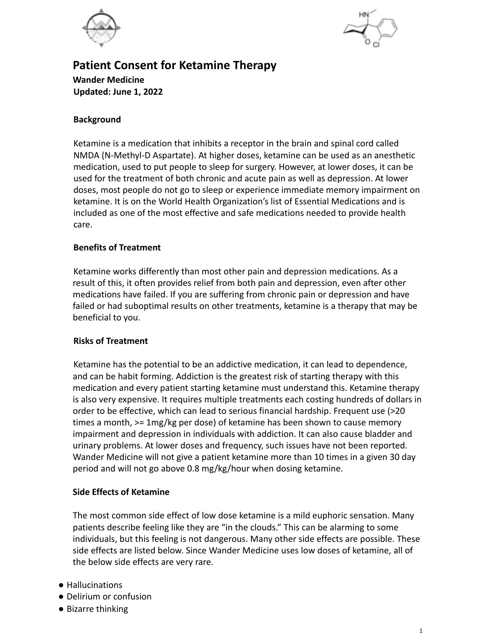



# **Patient Consent for Ketamine Therapy Wander Medicine Updated: June 1, 2022**

#### **Background**

Ketamine is a medication that inhibits a receptor in the brain and spinal cord called NMDA (N-Methyl-D Aspartate). At higher doses, ketamine can be used as an anesthetic medication, used to put people to sleep for surgery. However, at lower doses, it can be used for the treatment of both chronic and acute pain as well as depression. At lower doses, most people do not go to sleep or experience immediate memory impairment on ketamine. It is on the World Health Organization's list of Essential Medications and is included as one of the most effective and safe medications needed to provide health care.

#### **Benefits of Treatment**

Ketamine works differently than most other pain and depression medications. As a result of this, it often provides relief from both pain and depression, even after other medications have failed. If you are suffering from chronic pain or depression and have failed or had suboptimal results on other treatments, ketamine is a therapy that may be beneficial to you.

#### **Risks of Treatment**

Ketamine has the potential to be an addictive medication, it can lead to dependence, and can be habit forming. Addiction is the greatest risk of starting therapy with this medication and every patient starting ketamine must understand this. Ketamine therapy is also very expensive. It requires multiple treatments each costing hundreds of dollars in order to be effective, which can lead to serious financial hardship. Frequent use (>20 times a month, >= 1mg/kg per dose) of ketamine has been shown to cause memory impairment and depression in individuals with addiction. It can also cause bladder and urinary problems. At lower doses and frequency, such issues have not been reported. Wander Medicine will not give a patient ketamine more than 10 times in a given 30 day period and will not go above 0.8 mg/kg/hour when dosing ketamine.

#### **Side Effects of Ketamine**

The most common side effect of low dose ketamine is a mild euphoric sensation. Many patients describe feeling like they are "in the clouds." This can be alarming to some individuals, but this feeling is not dangerous. Many other side effects are possible. These side effects are listed below. Since Wander Medicine uses low doses of ketamine, all of the below side effects are very rare.

- Hallucinations
- Delirium or confusion
- Bizarre thinking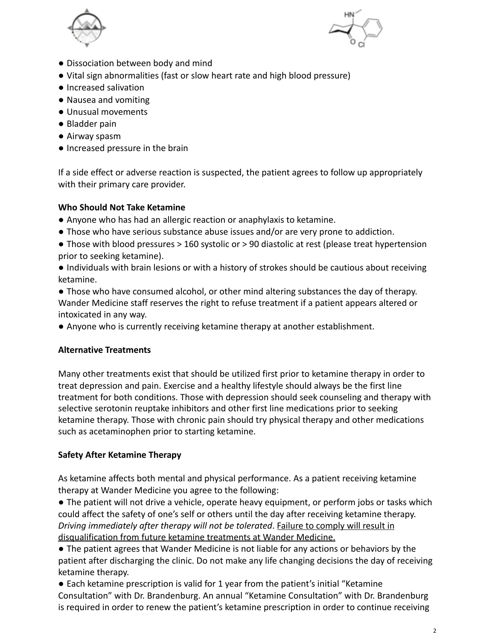



- Dissociation between body and mind
- Vital sign abnormalities (fast or slow heart rate and high blood pressure)
- Increased salivation
- Nausea and vomiting
- Unusual movements
- Bladder pain
- Airway spasm
- Increased pressure in the brain

If a side effect or adverse reaction is suspected, the patient agrees to follow up appropriately with their primary care provider.

### **Who Should Not Take Ketamine**

- Anyone who has had an allergic reaction or anaphylaxis to ketamine.
- Those who have serious substance abuse issues and/or are very prone to addiction.
- Those with blood pressures > 160 systolic or > 90 diastolic at rest (please treat hypertension prior to seeking ketamine).
- Individuals with brain lesions or with a history of strokes should be cautious about receiving ketamine.
- Those who have consumed alcohol, or other mind altering substances the day of therapy. Wander Medicine staff reserves the right to refuse treatment if a patient appears altered or intoxicated in any way.
- Anyone who is currently receiving ketamine therapy at another establishment.

## **Alternative Treatments**

Many other treatments exist that should be utilized first prior to ketamine therapy in order to treat depression and pain. Exercise and a healthy lifestyle should always be the first line treatment for both conditions. Those with depression should seek counseling and therapy with selective serotonin reuptake inhibitors and other first line medications prior to seeking ketamine therapy. Those with chronic pain should try physical therapy and other medications such as acetaminophen prior to starting ketamine.

## **Safety After Ketamine Therapy**

As ketamine affects both mental and physical performance. As a patient receiving ketamine therapy at Wander Medicine you agree to the following:

● The patient will not drive a vehicle, operate heavy equipment, or perform jobs or tasks which could affect the safety of one's self or others until the day after receiving ketamine therapy. *Driving immediately after therapy will not be tolerated*. Failure to comply will result in disqualification from future ketamine treatments at Wander Medicine.

● The patient agrees that Wander Medicine is not liable for any actions or behaviors by the patient after discharging the clinic. Do not make any life changing decisions the day of receiving ketamine therapy.

● Each ketamine prescription is valid for 1 year from the patient's initial "Ketamine Consultation" with Dr. Brandenburg. An annual "Ketamine Consultation" with Dr. Brandenburg is required in order to renew the patient's ketamine prescription in order to continue receiving